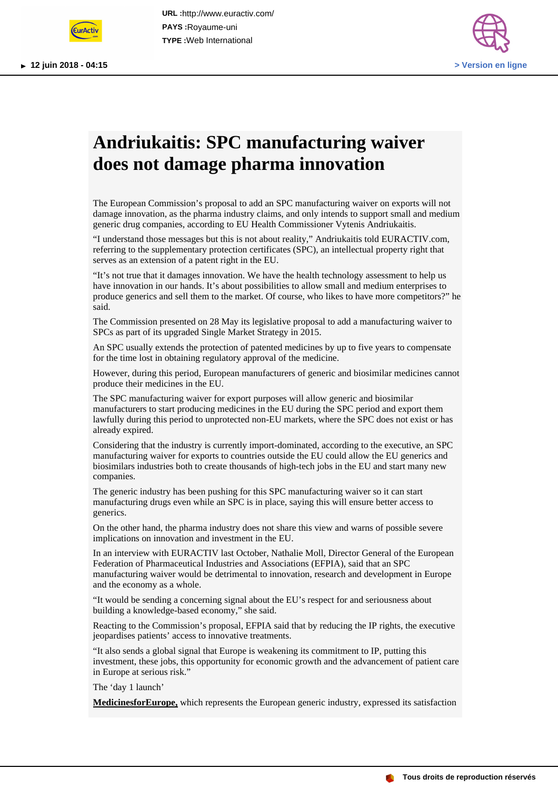



## **Andriukaitis: SPC manufacturing waiver does not damage pharma innovation**

The European Commission's proposal to add an SPC manufacturing waiver on exports will not damage innovation, as the pharma industry claims, and only intends to support small and medium generic drug companies, according to EU Health Commissioner Vytenis Andriukaitis.

"I understand those messages but this is not about reality," Andriukaitis told EURACTIV.com, referring to the supplementary protection certificates (SPC), an intellectual property right that serves as an extension of a patent right in the EU.

"It's not true that it damages innovation. We have the health technology assessment to help us have innovation in our hands. It's about possibilities to allow small and medium enterprises to produce generics and sell them to the market. Of course, who likes to have more competitors?" he said.

The Commission presented on 28 May its legislative proposal to add a manufacturing waiver to SPCs as part of its upgraded Single Market Strategy in 2015.

An SPC usually extends the protection of patented medicines by up to five years to compensate for the time lost in obtaining regulatory approval of the medicine.

However, during this period, European manufacturers of generic and biosimilar medicines cannot produce their medicines in the EU.

The SPC manufacturing waiver for export purposes will allow generic and biosimilar manufacturers to start producing medicines in the EU during the SPC period and export them lawfully during this period to unprotected non-EU markets, where the SPC does not exist or has already expired.

Considering that the industry is currently import-dominated, according to the executive, an SPC manufacturing waiver for exports to countries outside the EU could allow the EU generics and biosimilars industries both to create thousands of high-tech jobs in the EU and start many new companies.

The generic industry has been pushing for this SPC manufacturing waiver so it can start manufacturing drugs even while an SPC is in place, saying this will ensure better access to generics.

On the other hand, the pharma industry does not share this view and warns of possible severe implications on innovation and investment in the EU.

In an interview with EURACTIV last October, Nathalie Moll, Director General of the European Federation of Pharmaceutical Industries and Associations (EFPIA), said that an SPC manufacturing waiver would be detrimental to innovation, research and development in Europe and the economy as a whole.

"It would be sending a concerning signal about the EU's respect for and seriousness about building a knowledge-based economy," she said.

Reacting to the Commission's proposal, EFPIA said that by reducing the IP rights, the executive jeopardises patients' access to innovative treatments.

"It also sends a global signal that Europe is weakening its commitment to IP, putting this investment, these jobs, this opportunity for economic growth and the advancement of patient care in Europe at serious risk."

The 'day 1 launch'

**MedicinesforEurope,** which represents the European generic industry, expressed its satisfaction